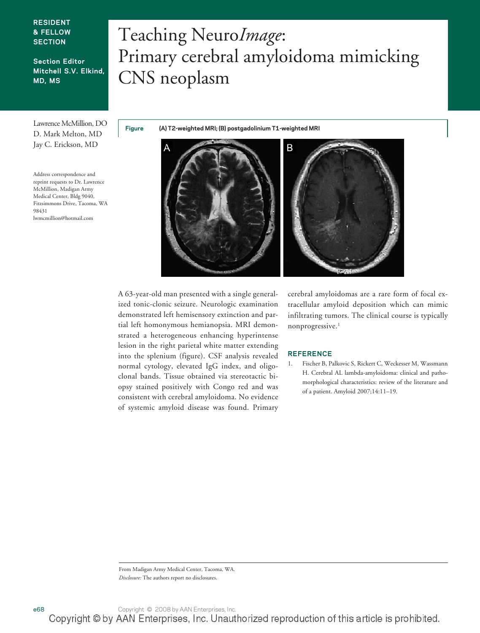### **RESIDENT & FELLOW SECTION**

## **Section Editor Mitchell S.V. Elkind, MD, MS**

Lawrence McMillion, DO D. Mark Melton, MD Jay C. Erickson, MD

Address correspondence and reprint requests to Dr. Lawrence McMillion, Madigan Army Medical Center, Bldg 9040, Fitzsimmons Drive, Tacoma, WA 98431 lwmcmillion@hotmail.com

# Teaching Neuro*Image*: Primary cerebral amyloidoma mimicking CNS neoplasm

**Figure (A) T2-weighted MRI; (B) postgadolinium T1-weighted MRI**



A 63-year-old man presented with a single generalized tonic-clonic seizure. Neurologic examination demonstrated left hemisensory extinction and partial left homonymous hemianopsia. MRI demonstrated a heterogeneous enhancing hyperintense lesion in the right parietal white matter extending into the splenium (figure). CSF analysis revealed normal cytology, elevated IgG index, and oligoclonal bands. Tissue obtained via stereotactic biopsy stained positively with Congo red and was consistent with cerebral amyloidoma. No evidence of systemic amyloid disease was found. Primary cerebral amyloidomas are a rare form of focal extracellular amyloid deposition which can mimic infiltrating tumors. The clinical course is typically nonprogressive.1

#### **REFERENCE**

1. Fischer B, Palkovic S, Rickert C, Weckesser M, Wassmann H. Cerebral AL lambda-amyloidoma: clinical and pathomorphological characteristics: review of the literature and of a patient. Amyloid 2007;14:11–19.

From Madigan Army Medical Center, Tacoma, WA. *Disclosure:* The authors report no disclosures.

e68 Copyright © 2008 by AAN Enterprises, Inc.

Copyright © by AAN Enterprises, Inc. Unauthorized reproduction of this article is prohibited.